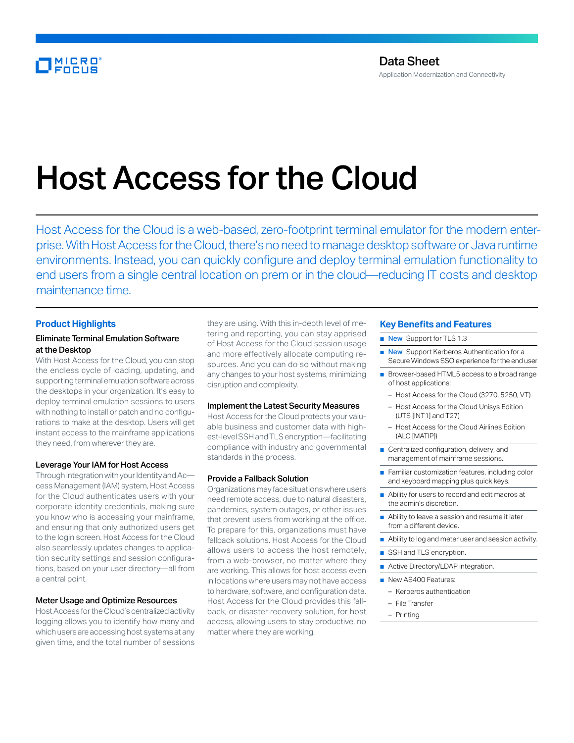# Host Access for the Cloud

Host Access for the Cloud is a web-based, zero-footprint terminal emulator for the modern enterprise. With Host Access for the Cloud, there's no need to manage desktop software or Java runtime environments. Instead, you can quickly configure and deploy terminal emulation functionality to end users from a single central location on prem or in the cloud—reducing IT costs and desktop maintenance time.

# **Product Highlights**

# Eliminate Terminal Emulation Software at the Desktop

With Host Access for the Cloud, you can stop the endless cycle of loading, updating, and supporting terminal emulation software across the desktops in your organization. It's easy to deploy terminal emulation sessions to users with nothing to install or patch and no configurations to make at the desktop. Users will get instant access to the mainframe applications they need, from wherever they are.

# Leverage Your IAM for Host Access

Through integration with your Identity and Ac cess Management (IAM) system, Host Access for the Cloud authenticates users with your corporate identity credentials, making sure you know who is accessing your mainframe, and ensuring that only authorized users get to the login screen. Host Access for the Cloud also seamlessly updates changes to application security settings and session configurations, based on your user directory—all from a central point.

#### Meter Usage and Optimize Resources

Host Access for the Cloud's centralized activity logging allows you to identify how many and which users are accessing host systems at any given time, and the total number of sessions

they are using. With this in-depth level of metering and reporting, you can stay apprised of Host Access for the Cloud session usage and more effectively allocate computing resources. And you can do so without making any changes to your host systems, minimizing disruption and complexity.

#### Implement the Latest Security Measures

Host Access for the Cloud protects your valuable business and customer data with highest-level SSH and TLS encryption—facilitating compliance with industry and governmental standards in the process.

#### Provide a Fallback Solution

Organizations may face situations where users need remote access, due to natural disasters, pandemics, system outages, or other issues that prevent users from working at the office. To prepare for this, organizations must have fallback solutions. Host Access for the Cloud allows users to access the host remotely, from a web-browser, no matter where they are working. This allows for host access even in locations where users may not have access to hardware, software, and configuration data. Host Access for the Cloud provides this fallback, or disaster recovery solution, for host access, allowing users to stay productive, no matter where they are working.

### **Key Benefits and Features**

- New Support for TLS 1.3
- New Support Kerberos Authentication for a Secure Windows SSO experience for the end user
- Browser-based HTML5 access to a broad range of host applications:
	- Host Access for the Cloud (3270, 5250, VT)
	- Host Access for the Cloud Unisys Edition (UTS [INT1] and T27)
	- Host Access for the Cloud Airlines Edition (ALC [MATIP])
- Centralized configuration, delivery, and management of mainframe sessions.
- Familiar customization features, including color and keyboard mapping plus quick keys.
- Ability for users to record and edit macros at the admin's discretion.
- Ability to leave a session and resume it later from a different device.
- Ability to log and meter user and session activity.
- SSH and TLS encryption.
- Active Directory/LDAP integration.
- New AS400 Features:
	- Kerberos authentication
	- File Transfer
- Printing